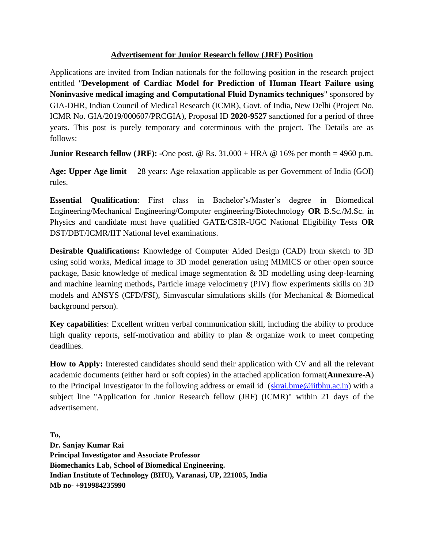## **Advertisement for Junior Research fellow (JRF) Position**

Applications are invited from Indian nationals for the following position in the research project entitled "**Development of Cardiac Model for Prediction of Human Heart Failure using Noninvasive medical imaging and Computational Fluid Dynamics techniques**" sponsored by GIA-DHR, Indian Council of Medical Research (ICMR), Govt. of India, New Delhi (Project No. ICMR No. GIA/2019/000607/PRCGIA), Proposal ID **2020-9527** sanctioned for a period of three years. This post is purely temporary and coterminous with the project. The Details are as follows:

**Junior Research fellow (JRF): -**One post, @ Rs. 31,000 + HRA @ 16% per month = 4960 p.m.

**Age: Upper Age limit**— 28 years: Age relaxation applicable as per Government of India (GOI) rules.

**Essential Qualification**: First class in Bachelor's/Master's degree in Biomedical Engineering/Mechanical Engineering/Computer engineering/Biotechnology **OR** B.Sc./M.Sc. in Physics and candidate must have qualified GATE/CSIR-UGC National Eligibility Tests **OR** DST/DBT/ICMR/IIT National level examinations.

**Desirable Qualifications:** Knowledge of Computer Aided Design (CAD) from sketch to 3D using solid works, Medical image to 3D model generation using MIMICS or other open source package, Basic knowledge of medical image segmentation & 3D modelling using deep-learning and machine learning methods**,** Particle image velocimetry (PIV) flow experiments skills on 3D models and ANSYS (CFD/FSI), Simvascular simulations skills (for Mechanical & Biomedical background person).

**Key capabilities**: Excellent written verbal communication skill, including the ability to produce high quality reports, self-motivation and ability to plan & organize work to meet competing deadlines.

**How to Apply:** Interested candidates should send their application with CV and all the relevant academic documents (either hard or soft copies) in the attached application format(**Annexure-A**) to the Principal Investigator in the following address or email id [\(skrai.bme@iitbhu.ac.in\)](mailto:skrai.bme@iitbhu.ac.in) with a subject line "Application for Junior Research fellow (JRF) (ICMR)" within 21 days of the advertisement.

**To, Dr. Sanjay Kumar Rai Principal Investigator and Associate Professor Biomechanics Lab, School of Biomedical Engineering. Indian Institute of Technology (BHU), Varanasi, UP, 221005, India Mb no- +919984235990**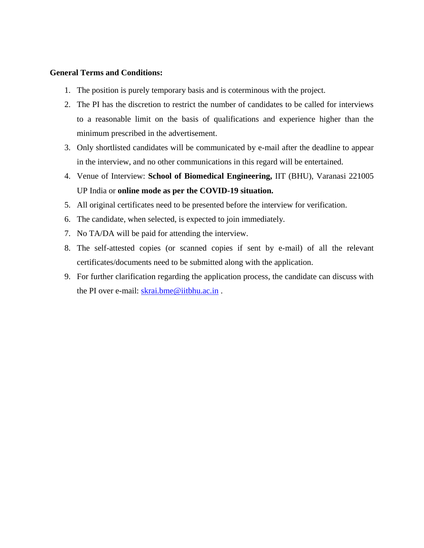## **General Terms and Conditions:**

- 1. The position is purely temporary basis and is coterminous with the project.
- 2. The PI has the discretion to restrict the number of candidates to be called for interviews to a reasonable limit on the basis of qualifications and experience higher than the minimum prescribed in the advertisement.
- 3. Only shortlisted candidates will be communicated by e-mail after the deadline to appear in the interview, and no other communications in this regard will be entertained.
- 4. Venue of Interview: **School of Biomedical Engineering,** IIT (BHU), Varanasi 221005 UP India or **online mode as per the COVID-19 situation.**
- 5. All original certificates need to be presented before the interview for verification.
- 6. The candidate, when selected, is expected to join immediately.
- 7. No TA/DA will be paid for attending the interview.
- 8. The self-attested copies (or scanned copies if sent by e-mail) of all the relevant certificates/documents need to be submitted along with the application.
- 9. For further clarification regarding the application process, the candidate can discuss with the PI over e-mail: [skrai.bme@iitbhu.ac.in](mailto:skrai.bme@iitbhu.ac.in).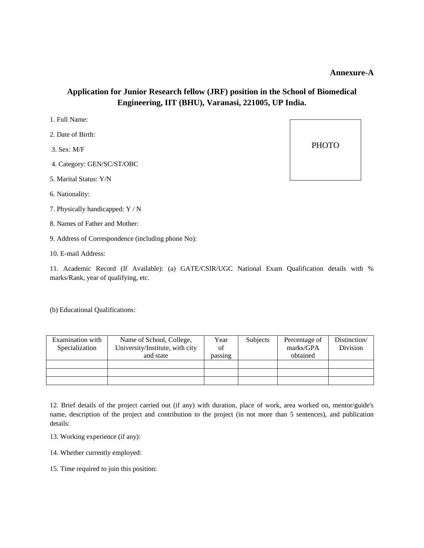## **Annexure-A**

## **Application for Junior Research fellow (JRF) position in the School of Biomedical Engineering, IIT (BHU), Varanasi, 221005, UP India.**

- 2. Date of Birth:
- 3. Sex: M/F
- 4. Category: GEN/SC/ST/OBC
- 5. Marital Status: Y/N
- 6. Nationality:
- 7. Physically handicapped: Y / N
- 8. Names of Father and Mother:
- 9. Address of Correspondence (including phone No):
- 10. E-mail Address:

11. Academic Record (If Available): (a) GATE/CSIR/UGC National Exam Qualification details with % marks/Rank, year of qualifying, etc.

(b) Educational Qualifications:

| Examination with | Name of School, College,        | Year    | Subjects | Percentage of | Distinction/ |
|------------------|---------------------------------|---------|----------|---------------|--------------|
| Specialization   | University/Institute, with city | of      |          | marks/GPA     | Division     |
|                  | and state                       | passing |          | obtained      |              |
|                  |                                 |         |          |               |              |
|                  |                                 |         |          |               |              |
|                  |                                 |         |          |               |              |

12. Brief details of the project carried out (if any) with duration, place of work, area worked on, mentor/guide's name, description of the project and contribution to the project (in not more than 5 sentences), and publication details:

- 13. Working experience (if any):
- 14. Whether currently employed:
- 15. Time required to join this position: